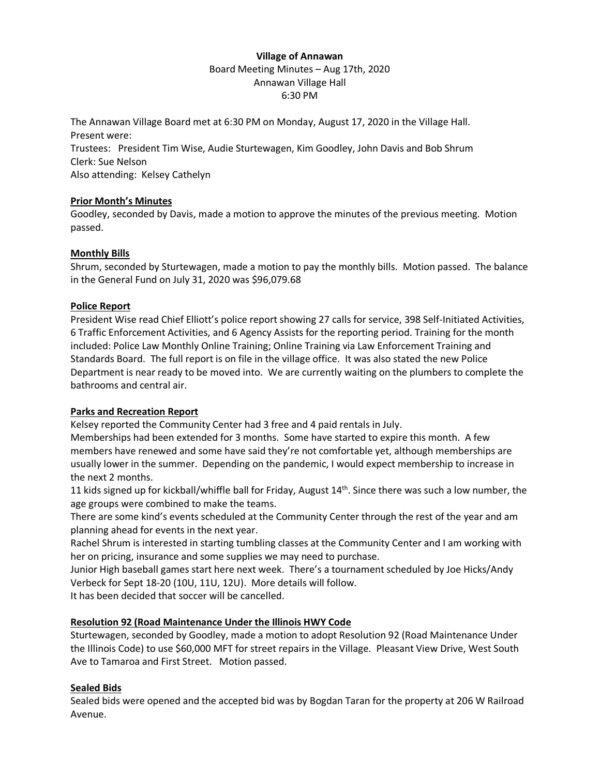## **Village of Annawan** Board Meeting Minutes – Aug 17th, 2020 Annawan Village Hall 6:30 PM

The Annawan Village Board met at 6:30 PM on Monday, August 17, 2020 in the Village Hall. Present were: Trustees: President Tim Wise, Audie Sturtewagen, Kim Goodley, John Davis and Bob Shrum Clerk: Sue Nelson Also attending: Kelsey Cathelyn

## **Prior Month's Minutes**

Goodley, seconded by Davis, made a motion to approve the minutes of the previous meeting. Motion passed.

# **Monthly Bills**

Shrum, seconded by Sturtewagen, made a motion to pay the monthly bills. Motion passed. The balance in the General Fund on July 31, 2020 was \$96,079.68

## **Police Report**

President Wise read Chief Elliott's police report showing 27 calls for service, 398 Self-Initiated Activities, 6 Traffic Enforcement Activities, and 6 Agency Assists for the reporting period. Training for the month included: Police Law Monthly Online Training; Online Training via Law Enforcement Training and Standards Board. The full report is on file in the village office. It was also stated the new Police Department is near ready to be moved into. We are currently waiting on the plumbers to complete the bathrooms and central air.

# **Parks and Recreation Report**

Kelsey reported the Community Center had 3 free and 4 paid rentals in July.

Memberships had been extended for 3 months. Some have started to expire this month. A few members have renewed and some have said they're not comfortable yet, although memberships are usually lower in the summer. Depending on the pandemic, I would expect membership to increase in the next 2 months.

11 kids signed up for kickball/whiffle ball for Friday, August  $14<sup>th</sup>$ . Since there was such a low number, the age groups were combined to make the teams.

There are some kind's events scheduled at the Community Center through the rest of the year and am planning ahead for events in the next year.

Rachel Shrum is interested in starting tumbling classes at the Community Center and I am working with her on pricing, insurance and some supplies we may need to purchase.

Junior High baseball games start here next week. There's a tournament scheduled by Joe Hicks/Andy Verbeck for Sept 18-20 (10U, 11U, 12U). More details will follow.

It has been decided that soccer will be cancelled.

#### **Resolution 92 (Road Maintenance Under the Illinois HWY Code**

Sturtewagen, seconded by Goodley, made a motion to adopt Resolution 92 (Road Maintenance Under the Illinois Code) to use \$60,000 MFT for street repairs in the Village. Pleasant View Drive, West South Ave to Tamaroa and First Street. Motion passed.

# **Sealed Bids**

Sealed bids were opened and the accepted bid was by Bogdan Taran for the property at 206 W Railroad Avenue.